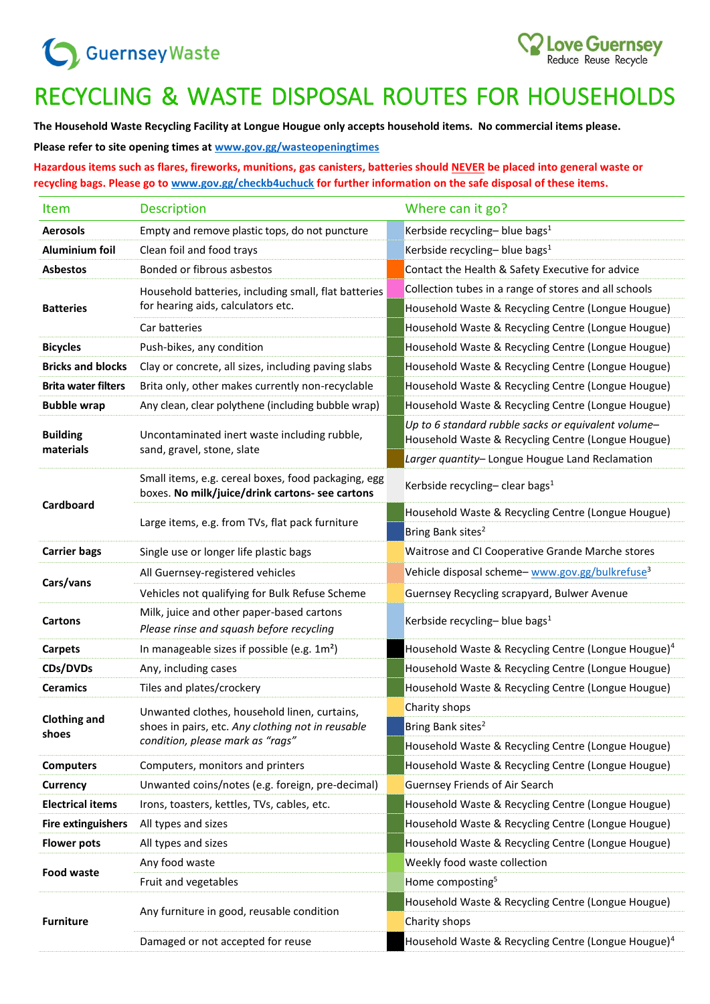## Guernsey Waste

## RECYCLING & WASTE DISPOSAL ROUTES FOR HOUSEHOLDS

Love Guernsey<br>Reduce Reuse Recycle

**The Household Waste Recycling Facility at Longue Hougue only accepts household items. No commercial items please.**

**Please refer to site opening times at [www.gov.gg/wasteopeningtimes](http://www.gov.gg/wasteopeningtimes)**

**Hazardous items such as flares, fireworks, munitions, gas canisters, batteries should NEVER be placed into general waste or recycling bags. Please go to [www.gov.gg/checkb4uchuck](http://www.gov.gg/checkb4uchuck) for further information on the safe disposal of these items.**

| Item                         | <b>Description</b>                                                                                                                    | Where can it go?                                                                                          |  |  |
|------------------------------|---------------------------------------------------------------------------------------------------------------------------------------|-----------------------------------------------------------------------------------------------------------|--|--|
| <b>Aerosols</b>              | Empty and remove plastic tops, do not puncture                                                                                        | Kerbside recycling- blue bags <sup>1</sup>                                                                |  |  |
| Aluminium foil               | Clean foil and food trays                                                                                                             | Kerbside recycling- blue bags <sup>1</sup>                                                                |  |  |
| <b>Asbestos</b>              | Bonded or fibrous asbestos                                                                                                            | Contact the Health & Safety Executive for advice                                                          |  |  |
| <b>Batteries</b>             | Household batteries, including small, flat batteries<br>for hearing aids, calculators etc.                                            | Collection tubes in a range of stores and all schools                                                     |  |  |
|                              |                                                                                                                                       | Household Waste & Recycling Centre (Longue Hougue)                                                        |  |  |
|                              | Car batteries                                                                                                                         | Household Waste & Recycling Centre (Longue Hougue)                                                        |  |  |
| <b>Bicycles</b>              | Push-bikes, any condition                                                                                                             | Household Waste & Recycling Centre (Longue Hougue)                                                        |  |  |
| <b>Bricks and blocks</b>     | Clay or concrete, all sizes, including paving slabs                                                                                   | Household Waste & Recycling Centre (Longue Hougue)                                                        |  |  |
| <b>Brita water filters</b>   | Brita only, other makes currently non-recyclable                                                                                      | Household Waste & Recycling Centre (Longue Hougue)                                                        |  |  |
| <b>Bubble wrap</b>           | Any clean, clear polythene (including bubble wrap)                                                                                    | Household Waste & Recycling Centre (Longue Hougue)                                                        |  |  |
| <b>Building</b>              | Uncontaminated inert waste including rubble,                                                                                          | Up to 6 standard rubble sacks or equivalent volume-<br>Household Waste & Recycling Centre (Longue Hougue) |  |  |
| materials                    | sand, gravel, stone, slate                                                                                                            | Larger quantity- Longue Hougue Land Reclamation                                                           |  |  |
|                              | Small items, e.g. cereal boxes, food packaging, egg<br>boxes. No milk/juice/drink cartons- see cartons                                | Kerbside recycling-clear bags <sup>1</sup>                                                                |  |  |
| Cardboard                    | Large items, e.g. from TVs, flat pack furniture                                                                                       | Household Waste & Recycling Centre (Longue Hougue)                                                        |  |  |
|                              |                                                                                                                                       | Bring Bank sites <sup>2</sup>                                                                             |  |  |
| <b>Carrier bags</b>          | Single use or longer life plastic bags                                                                                                | Waitrose and CI Cooperative Grande Marche stores                                                          |  |  |
|                              | All Guernsey-registered vehicles                                                                                                      | Vehicle disposal scheme-www.gov.gg/bulkrefuse <sup>3</sup>                                                |  |  |
| Cars/vans                    | Vehicles not qualifying for Bulk Refuse Scheme                                                                                        | Guernsey Recycling scrapyard, Bulwer Avenue                                                               |  |  |
| <b>Cartons</b>               | Milk, juice and other paper-based cartons<br>Please rinse and squash before recycling                                                 | Kerbside recycling- blue bags <sup>1</sup>                                                                |  |  |
| <b>Carpets</b>               | In manageable sizes if possible (e.g. $1m2$ )                                                                                         | Household Waste & Recycling Centre (Longue Hougue) <sup>4</sup>                                           |  |  |
| CDs/DVDs                     | Any, including cases                                                                                                                  | Household Waste & Recycling Centre (Longue Hougue)                                                        |  |  |
| <b>Ceramics</b>              | Tiles and plates/crockery                                                                                                             | Household Waste & Recycling Centre (Longue Hougue)                                                        |  |  |
|                              | Unwanted clothes, household linen, curtains,<br>shoes in pairs, etc. Any clothing not in reusable<br>condition, please mark as "rags" | Charity shops                                                                                             |  |  |
| <b>Clothing and</b><br>shoes |                                                                                                                                       | Bring Bank sites <sup>2</sup>                                                                             |  |  |
|                              |                                                                                                                                       | Household Waste & Recycling Centre (Longue Hougue)                                                        |  |  |
| <b>Computers</b>             | Computers, monitors and printers                                                                                                      | Household Waste & Recycling Centre (Longue Hougue)                                                        |  |  |
| Currency                     | Unwanted coins/notes (e.g. foreign, pre-decimal)                                                                                      | Guernsey Friends of Air Search                                                                            |  |  |
| <b>Electrical items</b>      | Irons, toasters, kettles, TVs, cables, etc.                                                                                           | Household Waste & Recycling Centre (Longue Hougue)                                                        |  |  |
| <b>Fire extinguishers</b>    | All types and sizes                                                                                                                   | Household Waste & Recycling Centre (Longue Hougue)                                                        |  |  |
| <b>Flower pots</b>           | All types and sizes                                                                                                                   | Household Waste & Recycling Centre (Longue Hougue)                                                        |  |  |
|                              | Any food waste                                                                                                                        | Weekly food waste collection                                                                              |  |  |
| <b>Food waste</b>            | Fruit and vegetables                                                                                                                  | Home composting <sup>5</sup>                                                                              |  |  |
| <b>Furniture</b>             |                                                                                                                                       | Household Waste & Recycling Centre (Longue Hougue)                                                        |  |  |
|                              | Any furniture in good, reusable condition                                                                                             | Charity shops                                                                                             |  |  |
|                              | Damaged or not accepted for reuse                                                                                                     | Household Waste & Recycling Centre (Longue Hougue) <sup>4</sup>                                           |  |  |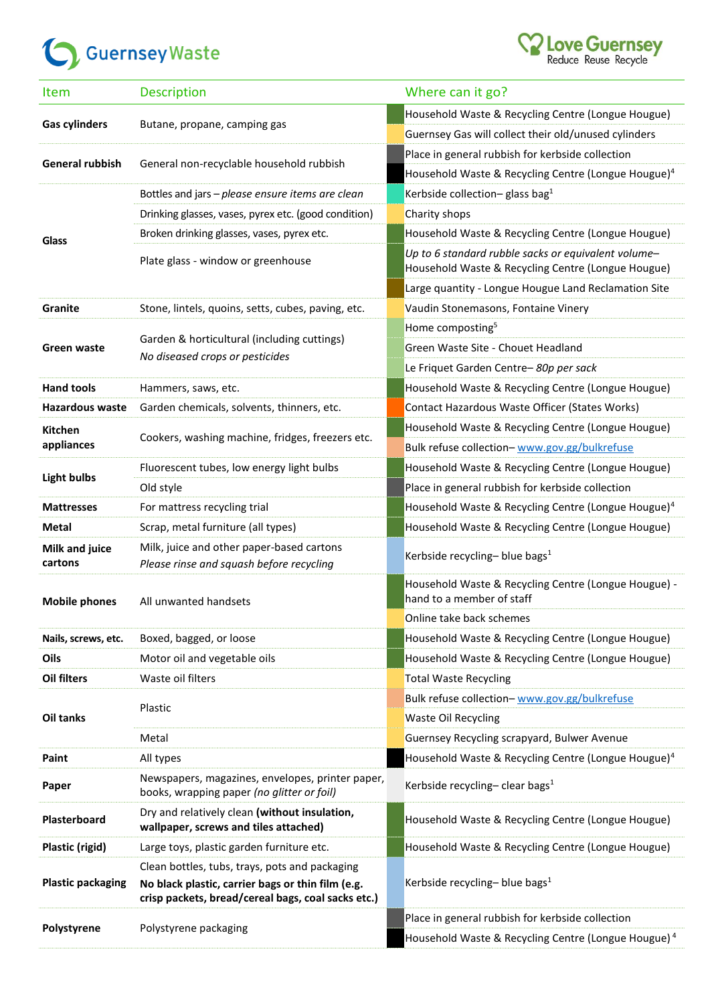## Guernsey Waste



| <b>Item</b>              | <b>Description</b>                                                                                      | Where can it go?                                                                                          |  |  |
|--------------------------|---------------------------------------------------------------------------------------------------------|-----------------------------------------------------------------------------------------------------------|--|--|
|                          |                                                                                                         | Household Waste & Recycling Centre (Longue Hougue)                                                        |  |  |
| <b>Gas cylinders</b>     | Butane, propane, camping gas                                                                            | Guernsey Gas will collect their old/unused cylinders                                                      |  |  |
| <b>General rubbish</b>   |                                                                                                         | Place in general rubbish for kerbside collection                                                          |  |  |
|                          | General non-recyclable household rubbish                                                                | Household Waste & Recycling Centre (Longue Hougue) <sup>4</sup>                                           |  |  |
| Glass                    | Bottles and jars - please ensure items are clean                                                        | Kerbside collection-glass bag <sup>1</sup>                                                                |  |  |
|                          | Drinking glasses, vases, pyrex etc. (good condition)                                                    | Charity shops                                                                                             |  |  |
|                          | Broken drinking glasses, vases, pyrex etc.                                                              | Household Waste & Recycling Centre (Longue Hougue)                                                        |  |  |
|                          | Plate glass - window or greenhouse                                                                      | Up to 6 standard rubble sacks or equivalent volume-<br>Household Waste & Recycling Centre (Longue Hougue) |  |  |
|                          |                                                                                                         | Large quantity - Longue Hougue Land Reclamation Site                                                      |  |  |
| Granite                  | Stone, lintels, quoins, setts, cubes, paving, etc.                                                      | Vaudin Stonemasons, Fontaine Vinery                                                                       |  |  |
|                          | Garden & horticultural (including cuttings)                                                             | Home composting <sup>5</sup>                                                                              |  |  |
| Green waste              |                                                                                                         | Green Waste Site - Chouet Headland                                                                        |  |  |
|                          | No diseased crops or pesticides                                                                         | Le Friquet Garden Centre-80p per sack                                                                     |  |  |
| <b>Hand tools</b>        | Hammers, saws, etc.                                                                                     | Household Waste & Recycling Centre (Longue Hougue)                                                        |  |  |
| <b>Hazardous waste</b>   | Garden chemicals, solvents, thinners, etc.                                                              | Contact Hazardous Waste Officer (States Works)                                                            |  |  |
| <b>Kitchen</b>           |                                                                                                         | Household Waste & Recycling Centre (Longue Hougue)                                                        |  |  |
| appliances               | Cookers, washing machine, fridges, freezers etc.                                                        | Bulk refuse collection- www.gov.gg/bulkrefuse                                                             |  |  |
|                          | Fluorescent tubes, low energy light bulbs                                                               | Household Waste & Recycling Centre (Longue Hougue)                                                        |  |  |
| <b>Light bulbs</b>       | Old style                                                                                               | Place in general rubbish for kerbside collection                                                          |  |  |
| <b>Mattresses</b>        | For mattress recycling trial                                                                            | Household Waste & Recycling Centre (Longue Hougue) <sup>4</sup>                                           |  |  |
| <b>Metal</b>             | Scrap, metal furniture (all types)                                                                      | Household Waste & Recycling Centre (Longue Hougue)                                                        |  |  |
| Milk and juice           | Milk, juice and other paper-based cartons                                                               |                                                                                                           |  |  |
| cartons                  | Please rinse and squash before recycling                                                                | Kerbside recycling- blue bags <sup>1</sup>                                                                |  |  |
| <b>Mobile phones</b>     | All unwanted handsets                                                                                   | Household Waste & Recycling Centre (Longue Hougue) -<br>hand to a member of staff                         |  |  |
|                          |                                                                                                         | Online take back schemes                                                                                  |  |  |
| Nails, screws, etc.      | Boxed, bagged, or loose                                                                                 | Household Waste & Recycling Centre (Longue Hougue)                                                        |  |  |
| Oils                     | Motor oil and vegetable oils                                                                            | Household Waste & Recycling Centre (Longue Hougue)                                                        |  |  |
| <b>Oil filters</b>       | Waste oil filters                                                                                       | <b>Total Waste Recycling</b>                                                                              |  |  |
| <b>Oil tanks</b>         | Plastic                                                                                                 | Bulk refuse collection- www.gov.gg/bulkrefuse                                                             |  |  |
|                          |                                                                                                         | <b>Waste Oil Recycling</b>                                                                                |  |  |
|                          | Metal                                                                                                   | Guernsey Recycling scrapyard, Bulwer Avenue                                                               |  |  |
| Paint                    | All types                                                                                               | Household Waste & Recycling Centre (Longue Hougue) <sup>4</sup>                                           |  |  |
| Paper                    | Newspapers, magazines, envelopes, printer paper,<br>books, wrapping paper (no glitter or foil)          | Kerbside recycling-clear bags <sup>1</sup>                                                                |  |  |
| Plasterboard             | Dry and relatively clean (without insulation,<br>wallpaper, screws and tiles attached)                  | Household Waste & Recycling Centre (Longue Hougue)                                                        |  |  |
| Plastic (rigid)          | Large toys, plastic garden furniture etc.                                                               | Household Waste & Recycling Centre (Longue Hougue)                                                        |  |  |
| <b>Plastic packaging</b> | Clean bottles, tubs, trays, pots and packaging                                                          | Kerbside recycling- blue bags <sup>1</sup>                                                                |  |  |
|                          | No black plastic, carrier bags or thin film (e.g.<br>crisp packets, bread/cereal bags, coal sacks etc.) |                                                                                                           |  |  |
| Polystyrene              | Polystyrene packaging                                                                                   | Place in general rubbish for kerbside collection                                                          |  |  |
|                          |                                                                                                         | Household Waste & Recycling Centre (Longue Hougue) <sup>4</sup>                                           |  |  |